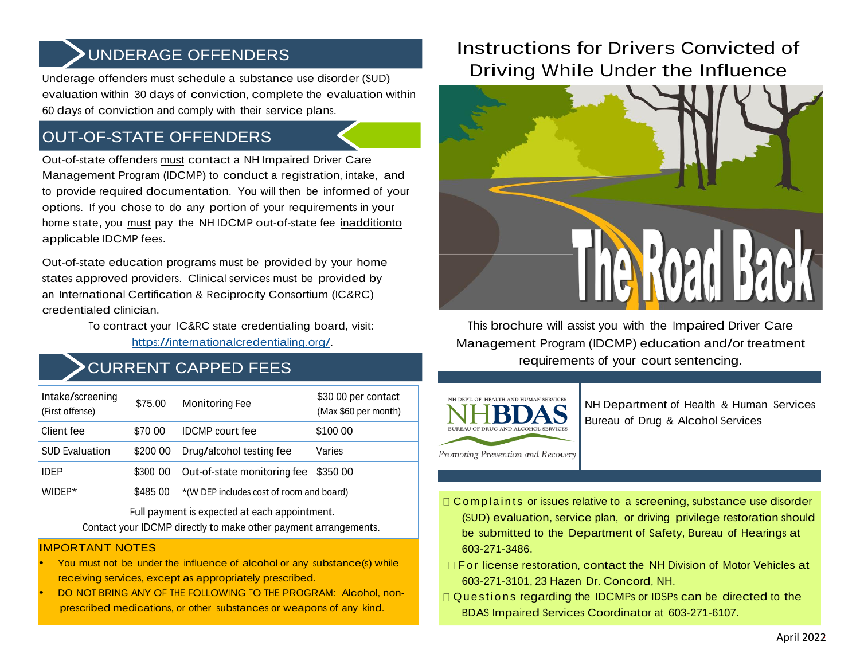# UNDERAGE OFFENDERS

Underage offenders must schedule a substance use disorder (SUD) evaluation within 30 days of conviction, complete the evaluation within 60 days of conviction and comply with their service plans.

# OUT-OF-STATE OFFENDERS

Out-of-state offenders must contact a NH Impaired Driver Care Management Program (IDCMP) to conduct a registration, intake, and to provide required documentation. You will then be informed of your options. If you chose to do any portion of your requirements in your home state, you must pay the NH IDCMP out-of-state fee inadditionto applicable IDCMP fees.

Out-of-state education programs must be provided by your home states approved providers. Clinical services must be provided by an International Certification & Reciprocity Consortium (IC&RC) credentialed clinician.

> To contract your IC&RC state credentialing board, visit: https://internationalcredentialing.org/.

### CURRENT CAPPED FEES

| Intake/screening<br>(First offense) | \$75.00  | Monitoring Fee                           | \$30 00 per contact<br>(Max \$60 per month) |
|-------------------------------------|----------|------------------------------------------|---------------------------------------------|
| Client fee                          | \$70 00  | <b>IDCMP</b> court fee                   | \$100 00                                    |
| <b>SUD Evaluation</b>               | \$200 00 | Drug/alcohol testing fee                 | Varies                                      |
| <b>IDEP</b>                         | \$300 00 | Out-of-state monitoring fee              | \$350 00                                    |
| WIDEP*                              | \$485 00 | *(W DEP includes cost of room and board) |                                             |
|                                     |          |                                          |                                             |

Full payment is expected at each appointment. Contact your IDCMP directly to make other payment arrangements.

#### IMPORTANT NOTES

- You must not be under the influence of alcohol or any substance(s) while receiving services, except as appropriately prescribed.
- DO NOT BRING ANY OF THE FOLLOWING TO THE PROGRAM: Alcohol, nonprescribed medications, or other substances or weapons of any kind.

# Instructions for Drivers Convicted of Driving While Under the Influence



This brochure will assist you with the Impaired Driver Care Management Program (IDCMP) education and/or treatment requirements of your court sentencing.



NH Department of Health & Human Services Bureau of Drug & Alcohol Services

- $\Box$  C om p l a in ts or issues relative to a screening, substance use disorder (SUD) evaluation, service plan, or driving privilege restoration should be submitted to the Department of Safety, Bureau of Hearings at 603-271-3486.
- $\Box$  For license restoration, contact the NH Division of Motor Vehicles at 603-271-3101, 23 Hazen Dr. Concord, NH.
- Questions regarding the IDCMPs or IDSPs can be directed to the BDAS Impaired Services Coordinator at 603-271-6107.